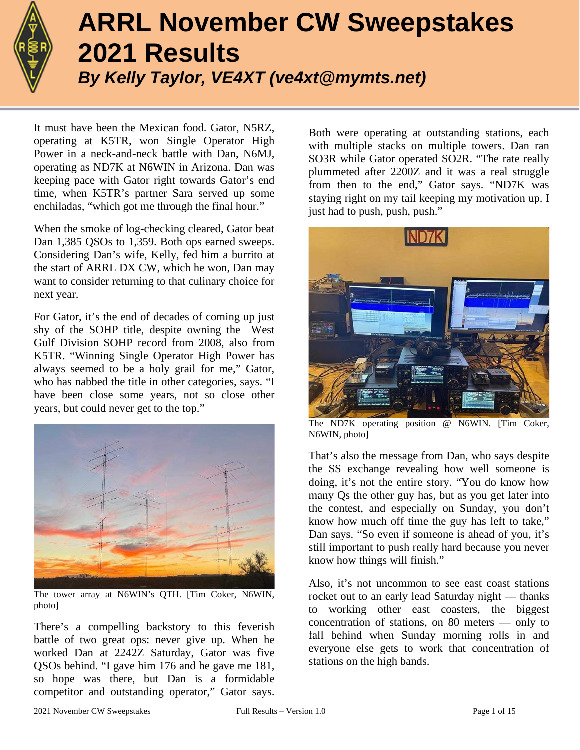

# **ARRL November CW Sweepstakes 2021 Results** *By Kelly Taylor, VE4XT (ve4xt@mymts.net)*

It must have been the Mexican food. Gator, N5RZ, operating at K5TR, won Single Operator High Power in a neck-and-neck battle with Dan, N6MJ, operating as ND7K at N6WIN in Arizona. Dan was keeping pace with Gator right towards Gator's end time, when K5TR's partner Sara served up some enchiladas, "which got me through the final hour."

When the smoke of log-checking cleared, Gator beat Dan 1,385 QSOs to 1,359. Both ops earned sweeps. Considering Dan's wife, Kelly, fed him a burrito at the start of ARRL DX CW, which he won, Dan may want to consider returning to that culinary choice for next year.

For Gator, it's the end of decades of coming up just shy of the SOHP title, despite owning the West Gulf Division SOHP record from 2008, also from K5TR. "Winning Single Operator High Power has always seemed to be a holy grail for me," Gator, who has nabbed the title in other categories, says. "I have been close some years, not so close other years, but could never get to the top."



The tower array at N6WIN's QTH. [Tim Coker, N6WIN, photo]

There's a compelling backstory to this feverish battle of two great ops: never give up. When he worked Dan at 2242Z Saturday, Gator was five QSOs behind. "I gave him 176 and he gave me 181, so hope was there, but Dan is a formidable competitor and outstanding operator," Gator says.

Both were operating at outstanding stations, each with multiple stacks on multiple towers. Dan ran SO3R while Gator operated SO2R. "The rate really plummeted after 2200Z and it was a real struggle from then to the end," Gator says. "ND7K was staying right on my tail keeping my motivation up. I just had to push, push, push."



The ND7K operating position @ N6WIN. [Tim Coker, N6WIN, photo]

That's also the message from Dan, who says despite the SS exchange revealing how well someone is doing, it's not the entire story. "You do know how many Qs the other guy has, but as you get later into the contest, and especially on Sunday, you don't know how much off time the guy has left to take," Dan says. "So even if someone is ahead of you, it's still important to push really hard because you never know how things will finish."

Also, it's not uncommon to see east coast stations rocket out to an early lead Saturday night — thanks to working other east coasters, the biggest concentration of stations, on 80 meters — only to fall behind when Sunday morning rolls in and everyone else gets to work that concentration of stations on the high bands.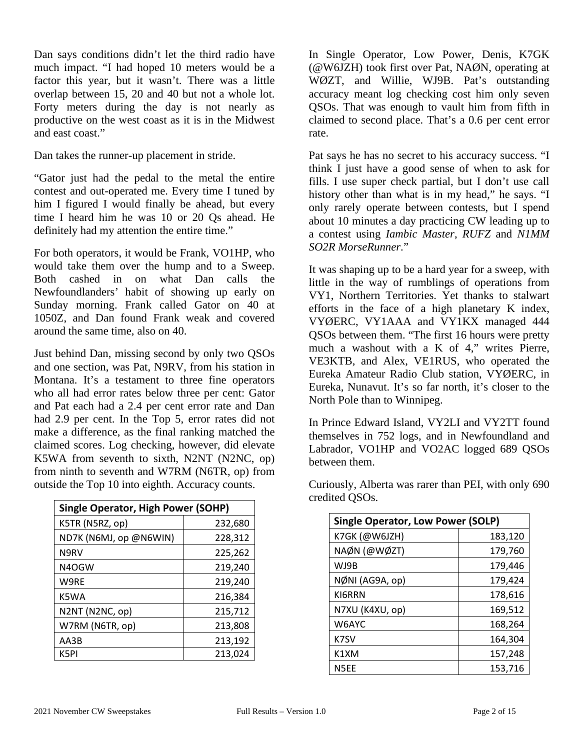Dan says conditions didn't let the third radio have much impact. "I had hoped 10 meters would be a factor this year, but it wasn't. There was a little overlap between 15, 20 and 40 but not a whole lot. Forty meters during the day is not nearly as productive on the west coast as it is in the Midwest and east coast."

Dan takes the runner-up placement in stride.

"Gator just had the pedal to the metal the entire contest and out-operated me. Every time I tuned by him I figured I would finally be ahead, but every time I heard him he was 10 or 20 Qs ahead. He definitely had my attention the entire time."

For both operators, it would be Frank, VO1HP, who would take them over the hump and to a Sweep. Both cashed in on what Dan calls the Newfoundlanders' habit of showing up early on Sunday morning. Frank called Gator on 40 at 1050Z, and Dan found Frank weak and covered around the same time, also on 40.

Just behind Dan, missing second by only two QSOs and one section, was Pat, N9RV, from his station in Montana. It's a testament to three fine operators who all had error rates below three per cent: Gator and Pat each had a 2.4 per cent error rate and Dan had 2.9 per cent. In the Top 5, error rates did not make a difference, as the final ranking matched the claimed scores. Log checking, however, did elevate K5WA from seventh to sixth, N2NT (N2NC, op) from ninth to seventh and W7RM (N6TR, op) from outside the Top 10 into eighth. Accuracy counts.

| <b>Single Operator, High Power (SOHP)</b> |         |  |  |  |  |  |
|-------------------------------------------|---------|--|--|--|--|--|
| K5TR (N5RZ, op)                           | 232,680 |  |  |  |  |  |
| ND7K (N6MJ, op @N6WIN)                    | 228,312 |  |  |  |  |  |
| N9RV                                      | 225,262 |  |  |  |  |  |
| N4OGW                                     | 219,240 |  |  |  |  |  |
| W9RE                                      | 219,240 |  |  |  |  |  |
| K5WA                                      | 216,384 |  |  |  |  |  |
| N2NT (N2NC, op)                           | 215,712 |  |  |  |  |  |
| W7RM (N6TR, op)                           | 213,808 |  |  |  |  |  |
| AA3B                                      | 213,192 |  |  |  |  |  |
| K5PI                                      | 213,024 |  |  |  |  |  |

In Single Operator, Low Power, Denis, K7GK (@W6JZH) took first over Pat, NAØN, operating at WØZT, and Willie, WJ9B. Pat's outstanding accuracy meant log checking cost him only seven QSOs. That was enough to vault him from fifth in claimed to second place. That's a 0.6 per cent error rate.

Pat says he has no secret to his accuracy success. "I think I just have a good sense of when to ask for fills. I use super check partial, but I don't use call history other than what is in my head," he says. "I only rarely operate between contests, but I spend about 10 minutes a day practicing CW leading up to a contest using *Iambic Master*, *RUFZ* and *N1MM SO2R MorseRunner*."

It was shaping up to be a hard year for a sweep, with little in the way of rumblings of operations from VY1, Northern Territories. Yet thanks to stalwart efforts in the face of a high planetary K index, VYØERC, VY1AAA and VY1KX managed 444 QSOs between them. "The first 16 hours were pretty much a washout with a K of 4," writes Pierre, VE3KTB, and Alex, VE1RUS, who operated the Eureka Amateur Radio Club station, VYØERC, in Eureka, Nunavut. It's so far north, it's closer to the North Pole than to Winnipeg.

In Prince Edward Island, VY2LI and VY2TT found themselves in 752 logs, and in Newfoundland and Labrador, VO1HP and VO2AC logged 689 QSOs between them.

| <b>Single Operator, Low Power (SOLP)</b> |         |  |  |  |  |  |  |
|------------------------------------------|---------|--|--|--|--|--|--|
| K7GK (@W6JZH)                            | 183,120 |  |  |  |  |  |  |
| NAØN (@WØZT)                             | 179,760 |  |  |  |  |  |  |
| WJ9B                                     | 179,446 |  |  |  |  |  |  |
| NØNI (AG9A, op)                          | 179,424 |  |  |  |  |  |  |
| KI6RRN                                   | 178,616 |  |  |  |  |  |  |
| N7XU (K4XU, op)                          | 169,512 |  |  |  |  |  |  |
| W6AYC                                    | 168,264 |  |  |  |  |  |  |
| K7SV                                     | 164,304 |  |  |  |  |  |  |
| K1XM                                     | 157,248 |  |  |  |  |  |  |
| N5EE                                     | 153,716 |  |  |  |  |  |  |

Curiously, Alberta was rarer than PEI, with only 690 credited QSOs.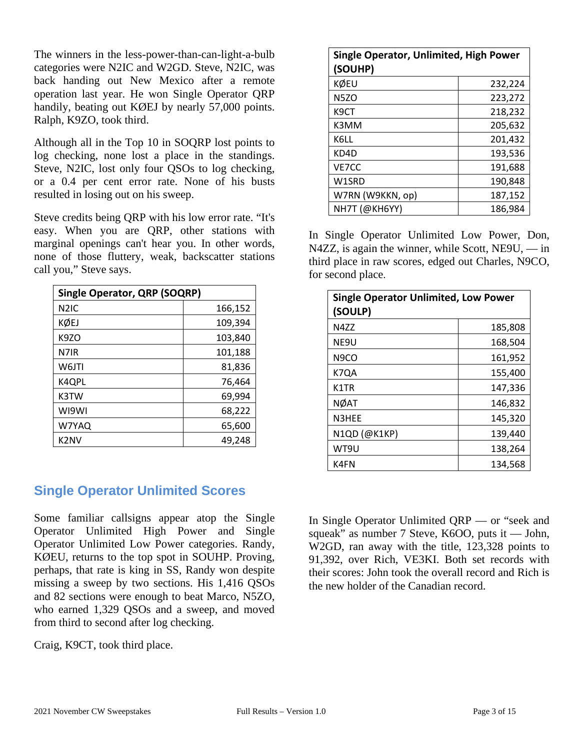The winners in the less-power-than-can-light-a-bulb categories were N2IC and W2GD. Steve, N2IC, was back handing out New Mexico after a remote operation last year. He won Single Operator QRP handily, beating out KØEJ by nearly 57,000 points. Ralph, K9ZO, took third.

Although all in the Top 10 in SOQRP lost points to log checking, none lost a place in the standings. Steve, N2IC, lost only four QSOs to log checking, or a 0.4 per cent error rate. None of his busts resulted in losing out on his sweep.

Steve credits being QRP with his low error rate. "It's easy. When you are QRP, other stations with marginal openings can't hear you. In other words, none of those fluttery, weak, backscatter stations call you," Steve says.

| <b>Single Operator, QRP (SOQRP)</b> |         |  |  |  |  |
|-------------------------------------|---------|--|--|--|--|
| N <sub>2</sub> IC                   | 166,152 |  |  |  |  |
| KØEJ                                | 109,394 |  |  |  |  |
| K <sub>9</sub> ZO                   | 103,840 |  |  |  |  |
| N7IR                                | 101,188 |  |  |  |  |
| W6JTI                               | 81,836  |  |  |  |  |
| K4QPL                               | 76,464  |  |  |  |  |
| K3TW                                | 69,994  |  |  |  |  |
| WI9WI                               | 68,222  |  |  |  |  |
| W7YAQ                               | 65,600  |  |  |  |  |
| K <sub>2</sub> NV                   | 49.248  |  |  |  |  |

# **Single Operator Unlimited Scores**

Some familiar callsigns appear atop the Single Operator Unlimited High Power and Single Operator Unlimited Low Power categories. Randy, KØEU, returns to the top spot in SOUHP. Proving, perhaps, that rate is king in SS, Randy won despite missing a sweep by two sections. His 1,416 QSOs and 82 sections were enough to beat Marco, N5ZO, who earned 1,329 QSOs and a sweep, and moved from third to second after log checking.

Craig, K9CT, took third place.

| Single Operator, Unlimited, High Power<br>(SOUHP) |         |
|---------------------------------------------------|---------|
| KØEU                                              | 232,224 |
| <b>N5ZO</b>                                       | 223,272 |
| K9CT                                              | 218,232 |
| K3MM                                              | 205,632 |
| K6LL                                              | 201,432 |
| KD4D                                              | 193,536 |
| VE7CC                                             | 191,688 |
| W1SRD                                             | 190,848 |
| W7RN (W9KKN, op)                                  | 187,152 |
| NH7T (@KH6YY)                                     | 186.984 |

In Single Operator Unlimited Low Power, Don, N4ZZ, is again the winner, while Scott, NE9U, — in third place in raw scores, edged out Charles, N9CO, for second place.

| <b>Single Operator Unlimited, Low Power</b><br>(SOULP) |         |  |  |  |  |
|--------------------------------------------------------|---------|--|--|--|--|
| N477                                                   | 185,808 |  |  |  |  |
| NE9U                                                   | 168,504 |  |  |  |  |
| N <sub>9</sub> CO                                      | 161,952 |  |  |  |  |
| K7QA                                                   | 155,400 |  |  |  |  |
| K1TR                                                   | 147,336 |  |  |  |  |
| <b>NØAT</b>                                            | 146,832 |  |  |  |  |
| N3HEE                                                  | 145,320 |  |  |  |  |
| N1QD (@K1KP)                                           | 139,440 |  |  |  |  |
| WT9U                                                   | 138,264 |  |  |  |  |
| K4FN                                                   | 134,568 |  |  |  |  |

In Single Operator Unlimited QRP — or "seek and squeak" as number 7 Steve, K6OO, puts it — John, W2GD, ran away with the title, 123,328 points to 91,392, over Rich, VE3KI. Both set records with their scores: John took the overall record and Rich is the new holder of the Canadian record.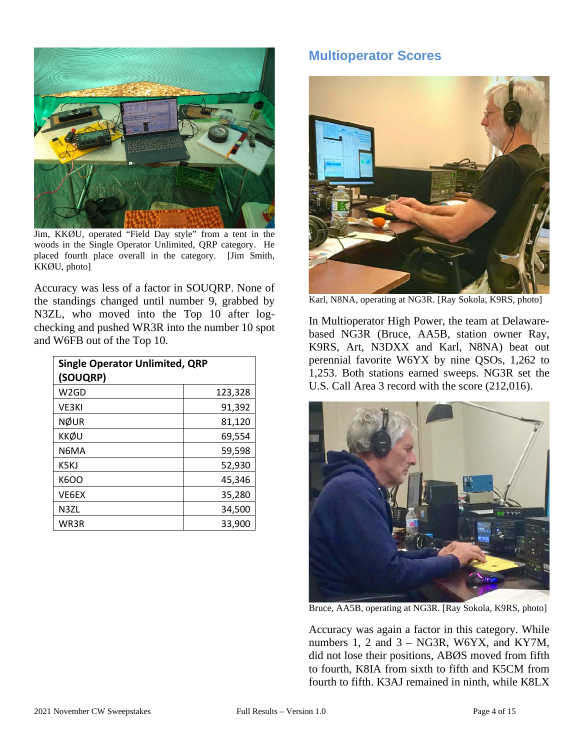

Jim, KKØU, operated "Field Day style" from a tent in the woods in the Single Operator Unlimited, QRP category. He placed fourth place overall in the category. [Jim Smith, KKØU, photo]

Accuracy was less of a factor in SOUQRP. None of the standings changed until number 9, grabbed by N3ZL, who moved into the Top 10 after logchecking and pushed WR3R into the number 10 spot and W6FB out of the Top 10.

| <b>Single Operator Unlimited, QRP</b><br>(SOUQRP) |         |  |  |  |  |
|---------------------------------------------------|---------|--|--|--|--|
| W <sub>2</sub> GD                                 | 123,328 |  |  |  |  |
| VE3KI                                             | 91,392  |  |  |  |  |
| <b>NØUR</b>                                       | 81,120  |  |  |  |  |
| <b>KKØU</b>                                       | 69,554  |  |  |  |  |
| N6MA                                              | 59,598  |  |  |  |  |
| K5KJ                                              | 52,930  |  |  |  |  |
| K6OO                                              | 45,346  |  |  |  |  |
| VE6EX                                             | 35,280  |  |  |  |  |
| N3ZL                                              | 34,500  |  |  |  |  |
| WR3R                                              | 33,900  |  |  |  |  |

## **Multioperator Scores**



Karl, N8NA, operating at NG3R. [Ray Sokola, K9RS, photo]

In Multioperator High Power, the team at Delawarebased NG3R (Bruce, AA5B, station owner Ray, K9RS, Art, N3DXX and Karl, N8NA) beat out perennial favorite W6YX by nine QSOs, 1,262 to 1,253. Both stations earned sweeps. NG3R set the U.S. Call Area 3 record with the score (212,016).



Bruce, AA5B, operating at NG3R. [Ray Sokola, K9RS, photo]

Accuracy was again a factor in this category. While numbers 1, 2 and 3 – NG3R, W6YX, and KY7M, did not lose their positions, ABØS moved from fifth to fourth, K8IA from sixth to fifth and K5CM from fourth to fifth. K3AJ remained in ninth, while K8LX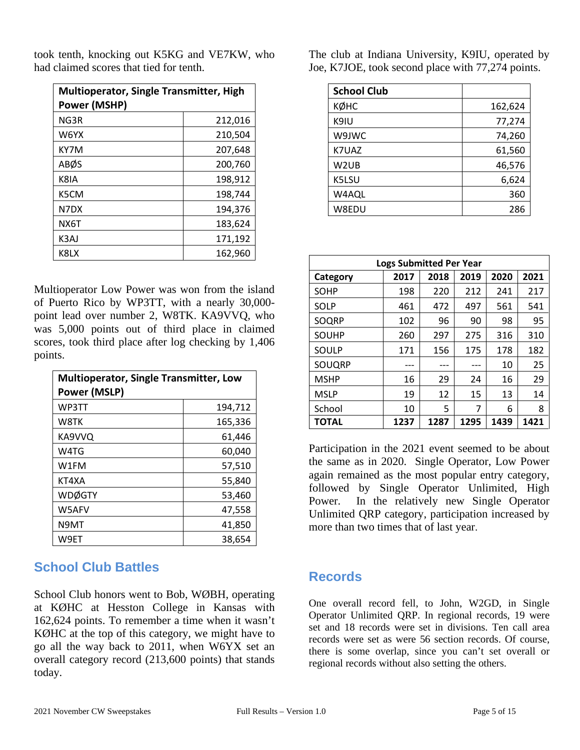| <b>Multioperator, Single Transmitter, High</b><br>Power (MSHP) |         |  |  |  |  |
|----------------------------------------------------------------|---------|--|--|--|--|
| NG3R                                                           | 212,016 |  |  |  |  |
| W6YX                                                           | 210,504 |  |  |  |  |
| KY7M                                                           | 207,648 |  |  |  |  |
| ABØS                                                           | 200,760 |  |  |  |  |
| K8IA                                                           | 198,912 |  |  |  |  |
| K5CM                                                           | 198,744 |  |  |  |  |
| N7DX                                                           | 194,376 |  |  |  |  |
| NX6T                                                           | 183,624 |  |  |  |  |
| K3AJ                                                           | 171,192 |  |  |  |  |
| K8LX                                                           | 162,960 |  |  |  |  |

took tenth, knocking out K5KG and VE7KW, who had claimed scores that tied for tenth.

Multioperator Low Power was won from the island of Puerto Rico by WP3TT, with a nearly 30,000 point lead over number 2, W8TK. KA9VVQ, who was 5,000 points out of third place in claimed scores, took third place after log checking by 1,406 points.

| <b>Multioperator, Single Transmitter, Low</b><br><b>Power (MSLP)</b> |         |  |  |  |  |
|----------------------------------------------------------------------|---------|--|--|--|--|
| WP3TT                                                                | 194,712 |  |  |  |  |
| W8TK                                                                 | 165,336 |  |  |  |  |
| KA9VVQ                                                               | 61,446  |  |  |  |  |
| W4TG                                                                 | 60,040  |  |  |  |  |
| W1FM                                                                 | 57,510  |  |  |  |  |
| KT4XA                                                                | 55,840  |  |  |  |  |
| <b>WDØGTY</b>                                                        | 53,460  |  |  |  |  |
| W5AFV                                                                | 47,558  |  |  |  |  |
| N9MT                                                                 | 41,850  |  |  |  |  |
| W9ET                                                                 | 38,654  |  |  |  |  |

# **School Club Battles**

School Club honors went to Bob, WØBH, operating at KØHC at Hesston College in Kansas with 162,624 points. To remember a time when it wasn't KØHC at the top of this category, we might have to go all the way back to 2011, when W6YX set an overall category record (213,600 points) that stands today.

The club at Indiana University, K9IU, operated by Joe, K7JOE, took second place with 77,274 points.

| <b>School Club</b> |         |
|--------------------|---------|
| кøнс               | 162,624 |
| K9IU               | 77,274  |
| W9JWC              | 74,260  |
| K7UAZ              | 61,560  |
| W <sub>2</sub> UB  | 46,576  |
| K5LSU              | 6,624   |
| W4AQL              | 360     |
| W8EDU              | 286     |

| <b>Logs Submitted Per Year</b> |      |      |      |      |      |  |  |  |
|--------------------------------|------|------|------|------|------|--|--|--|
| Category                       | 2017 | 2018 | 2019 | 2020 | 2021 |  |  |  |
| <b>SOHP</b>                    | 198  | 220  | 212  | 241  | 217  |  |  |  |
| <b>SOLP</b>                    | 461  | 472  | 497  | 561  | 541  |  |  |  |
| SOQRP                          | 102  | 96   | 90   | 98   | 95   |  |  |  |
| <b>SOUHP</b>                   | 260  | 297  | 275  | 316  | 310  |  |  |  |
| SOULP                          | 171  | 156  | 175  | 178  | 182  |  |  |  |
| SOUQRP                         |      |      |      | 10   | 25   |  |  |  |
| <b>MSHP</b>                    | 16   | 29   | 24   | 16   | 29   |  |  |  |
| <b>MSLP</b>                    | 19   | 12   | 15   | 13   | 14   |  |  |  |
| School                         | 10   | 5    | 7    | 6    | 8    |  |  |  |
| <b>TOTAL</b>                   | 1237 | 1287 | 1295 | 1439 | 1421 |  |  |  |

Participation in the 2021 event seemed to be about the same as in 2020. Single Operator, Low Power again remained as the most popular entry category, followed by Single Operator Unlimited, High Power. In the relatively new Single Operator Unlimited QRP category, participation increased by more than two times that of last year.

# **Records**

One overall record fell, to John, W2GD, in Single Operator Unlimited QRP. In regional records, 19 were set and 18 records were set in divisions. Ten call area records were set as were 56 section records. Of course, there is some overlap, since you can't set overall or regional records without also setting the others.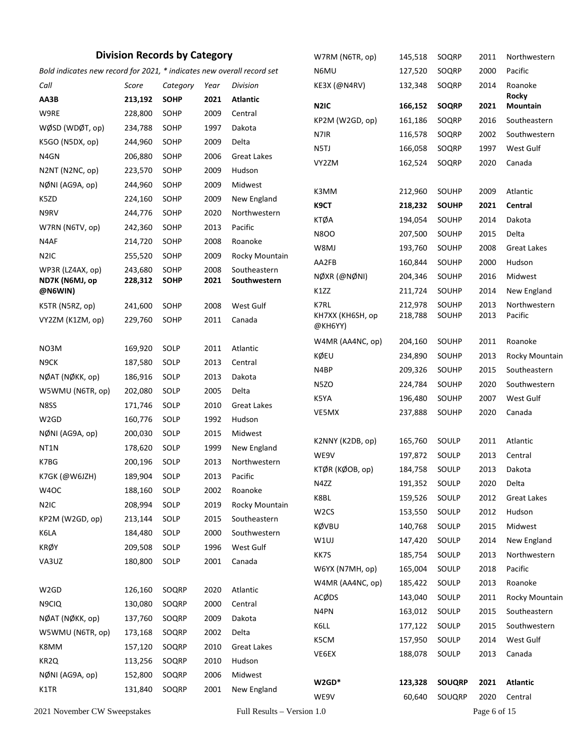#### **Division Records by Category**

| <b>Division Records by Category</b> |                                                                        |              |             |      |                            | W7RM (N6TR, op)   | 145,518 | SOQRP         | 2011         | Northwestern             |
|-------------------------------------|------------------------------------------------------------------------|--------------|-------------|------|----------------------------|-------------------|---------|---------------|--------------|--------------------------|
|                                     | Bold indicates new record for 2021, * indicates new overall record set |              |             |      |                            | N6MU              | 127,520 | SOQRP         | 2000         | Pacific                  |
|                                     | Call                                                                   | Score        | Category    | Year | Division                   | KE3X (@N4RV)      | 132,348 | SOQRP         | 2014         | Roanoke                  |
|                                     | AA3B                                                                   | 213,192      | <b>SOHP</b> | 2021 | <b>Atlantic</b>            | N <sub>2</sub> IC | 166,152 | <b>SOQRP</b>  | 2021         | <b>Rocky</b><br>Mountain |
|                                     | W9RE                                                                   | 228,800      | SOHP        | 2009 | Central                    | KP2M (W2GD, op)   | 161,186 | SOQRP         | 2016         | Southeastern             |
|                                     | WØSD (WDØT, op)                                                        | 234,788      | SOHP        | 1997 | Dakota                     | N7IR              | 116,578 | SOQRP         | 2002         | Southwestern             |
|                                     | K5GO (N5DX, op)                                                        | 244,960      | SOHP        | 2009 | Delta                      | N5TJ              | 166,058 | SOQRP         | 1997         | West Gulf                |
|                                     | N4GN                                                                   | 206,880      | SOHP        | 2006 | <b>Great Lakes</b>         | VY2ZM             | 162,524 | SOQRP         | 2020         | Canada                   |
|                                     | N2NT (N2NC, op)                                                        | 223,570      | SOHP        | 2009 | Hudson                     |                   |         |               |              |                          |
|                                     | NØNI (AG9A, op)                                                        | 244,960      | SOHP        | 2009 | Midwest                    | K3MM              | 212,960 | SOUHP         | 2009         | Atlantic                 |
|                                     | K5ZD                                                                   | 224,160      | SOHP        | 2009 | New England                | K9CT              | 218,232 | <b>SOUHP</b>  | 2021         | Central                  |
|                                     | N9RV                                                                   | 244,776      | SOHP        | 2020 | Northwestern               | <b>KTØA</b>       | 194,054 | SOUHP         | 2014         | Dakota                   |
|                                     | W7RN (N6TV, op)                                                        | 242,360      | SOHP        | 2013 | Pacific                    | <b>N8OO</b>       | 207,500 | SOUHP         | 2015         | Delta                    |
|                                     | N4AF                                                                   | 214,720      | SOHP        | 2008 | Roanoke                    | W8MJ              | 193,760 | SOUHP         | 2008         | <b>Great Lakes</b>       |
|                                     | N <sub>2</sub> IC                                                      | 255,520      | SOHP        | 2009 | Rocky Mountain             | AA2FB             | 160,844 | SOUHP         | 2000         | Hudson                   |
|                                     | WP3R (LZ4AX, op)                                                       | 243,680      | SOHP        | 2008 | Southeastern               | NØXR (@NØNI)      | 204,346 | SOUHP         | 2016         | Midwest                  |
|                                     | ND7K (N6MJ, op<br>@N6WIN)                                              | 228,312      | <b>SOHP</b> | 2021 | Southwestern               | K1ZZ              | 211,724 | SOUHP         | 2014         | New England              |
|                                     | K5TR (N5RZ, op)                                                        | 241,600      | SOHP        | 2008 | West Gulf                  | K7RL              | 212,978 | SOUHP         | 2013         | Northwestern             |
|                                     | VY2ZM (K1ZM, op)                                                       | 229,760      | SOHP        | 2011 | Canada                     | KH7XX (KH6SH, op  | 218,788 | SOUHP         | 2013         | Pacific                  |
|                                     |                                                                        |              |             |      |                            | @KH6YY)           |         |               |              |                          |
|                                     | NO3M                                                                   | 169,920      | SOLP        | 2011 | Atlantic                   | W4MR (AA4NC, op)  | 204,160 | SOUHP         | 2011         | Roanoke                  |
|                                     | N9CK                                                                   | 187,580      | SOLP        | 2013 | Central                    | KØEU              | 234,890 | SOUHP         | 2013         | Rocky Mountain           |
|                                     | NØAT (NØKK, op)                                                        | 186,916      | SOLP        | 2013 | Dakota                     | N4BP              | 209,326 | SOUHP         | 2015         | Southeastern             |
|                                     | W5WMU (N6TR, op)                                                       | 202,080      | SOLP        | 2005 | Delta                      | N5ZO              | 224,784 | SOUHP         | 2020         | Southwestern             |
|                                     | N8SS                                                                   | 171,746      | SOLP        | 2010 | <b>Great Lakes</b>         | K5YA              | 196,480 | SOUHP         | 2007         | West Gulf                |
|                                     | W <sub>2</sub> GD                                                      | 160,776      | SOLP        | 1992 | Hudson                     | VE5MX             | 237,888 | SOUHP         | 2020         | Canada                   |
|                                     | NØNI (AG9A, op)                                                        | 200,030      | SOLP        | 2015 | Midwest                    |                   |         |               |              |                          |
|                                     | NT1N                                                                   | 178,620      | SOLP        | 1999 | New England                | K2NNY (K2DB, op)  | 165,760 | SOULP         | 2011         | Atlantic                 |
|                                     | K7BG                                                                   | 200,196      | SOLP        | 2013 | Northwestern               | WE9V              | 197,872 | SOULP         | 2013         | Central                  |
|                                     | K7GK (@W6JZH)                                                          | 189,904 SOLP |             |      | 2013 Pacific               | KTØR (KØOB, op)   | 184,758 | SOULP         | 2013         | Dakota                   |
|                                     | W4OC                                                                   | 188,160      | SOLP        | 2002 | Roanoke                    | N4ZZ              | 191,352 | SOULP         | 2020         | Delta                    |
|                                     | N <sub>2</sub> IC                                                      | 208,994      | SOLP        | 2019 | Rocky Mountain             | K8BL              | 159,526 | SOULP         | 2012         | <b>Great Lakes</b>       |
|                                     | KP2M (W2GD, op)                                                        | 213,144      | SOLP        | 2015 | Southeastern               | W <sub>2</sub> CS | 153,550 | SOULP         | 2012         | Hudson                   |
|                                     | K6LA                                                                   | 184,480      | SOLP        | 2000 | Southwestern               | KØVBU             | 140,768 | SOULP         | 2015         | Midwest                  |
|                                     | KRØY                                                                   | 209,508      | SOLP        | 1996 | West Gulf                  | W1UJ              | 147,420 | SOULP         | 2014         | New England              |
|                                     | VA3UZ                                                                  | 180,800      | SOLP        | 2001 | Canada                     | KK7S              | 185,754 | SOULP         | 2013         | Northwestern             |
|                                     |                                                                        |              |             |      |                            | W6YX (N7MH, op)   | 165,004 | SOULP         | 2018         | Pacific                  |
|                                     | W2GD                                                                   | 126,160      | SOQRP       | 2020 | Atlantic                   | W4MR (AA4NC, op)  | 185,422 | SOULP         | 2013         | Roanoke                  |
|                                     | N9CIQ                                                                  | 130,080      | SOQRP       | 2000 | Central                    | ACØDS             | 143,040 | SOULP         | 2011         | Rocky Mountain           |
|                                     | NØAT (NØKK, op)                                                        | 137,760      | SOQRP       | 2009 | Dakota                     | N4PN              | 163,012 | SOULP         | 2015         | Southeastern             |
|                                     | W5WMU (N6TR, op)                                                       | 173,168      | SOQRP       | 2002 | Delta                      | K6LL              | 177,122 | SOULP         | 2015         | Southwestern             |
|                                     | K8MM                                                                   | 157,120      | SOQRP       | 2010 | <b>Great Lakes</b>         | K5CM              | 157,950 | SOULP         | 2014         | West Gulf                |
|                                     | KR <sub>2Q</sub>                                                       | 113,256      | SOQRP       | 2010 | Hudson                     | VE6EX             | 188,078 | SOULP         | 2013         | Canada                   |
|                                     | NØNI (AG9A, op)                                                        | 152,800      | SOQRP       | 2006 | Midwest                    |                   |         |               |              |                          |
|                                     | K1TR                                                                   | 131,840      | SOQRP       | 2001 | New England                | $W2GD*$           | 123,328 | <b>SOUQRP</b> | 2021         | <b>Atlantic</b>          |
|                                     |                                                                        |              |             |      |                            | WE9V              | 60,640  | SOUQRP        | 2020         | Central                  |
|                                     | 2021 November CW Sweepstakes                                           |              |             |      | Full Results - Version 1.0 |                   |         |               | Page 6 of 15 |                          |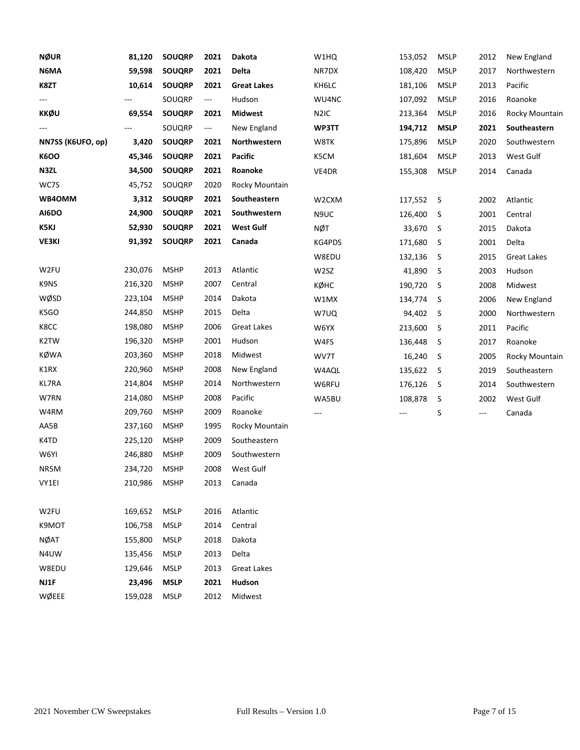| <b>NØUR</b>       | 81,120  | <b>SOUQRP</b> | 2021 | Dakota             | W1HQ              | 153,052 | <b>MSLP</b> | 2012                     | New England        |
|-------------------|---------|---------------|------|--------------------|-------------------|---------|-------------|--------------------------|--------------------|
| N6MA              | 59,598  | <b>SOUQRP</b> | 2021 | Delta              | NR7DX             | 108,420 | <b>MSLP</b> | 2017                     | Northwestern       |
| K8ZT              | 10,614  | <b>SOUQRP</b> | 2021 | <b>Great Lakes</b> | KH6LC             | 181,106 | <b>MSLP</b> | 2013                     | Pacific            |
| ---               |         | SOUQRP        | ---  | Hudson             | WU4NC             | 107,092 | <b>MSLP</b> | 2016                     | Roanoke            |
| KKØU              | 69,554  | <b>SOUQRP</b> | 2021 | <b>Midwest</b>     | N <sub>2</sub> IC | 213,364 | <b>MSLP</b> | 2016                     | Rocky Mountain     |
|                   |         | SOUQRP        | ---  | New England        | WP3TT             | 194,712 | <b>MSLP</b> | 2021                     | Southeastern       |
| NN7SS (K6UFO, op) | 3,420   | <b>SOUQRP</b> | 2021 | Northwestern       | W8TK              | 175,896 | <b>MSLP</b> | 2020                     | Southwestern       |
| <b>K6OO</b>       | 45,346  | <b>SOUQRP</b> | 2021 | <b>Pacific</b>     | K5CM              | 181,604 | <b>MSLP</b> | 2013                     | West Gulf          |
| N3ZL              | 34,500  | <b>SOUQRP</b> | 2021 | Roanoke            | VE4DR             | 155,308 | <b>MSLP</b> | 2014                     | Canada             |
| WC7S              | 45,752  | SOUQRP        | 2020 | Rocky Mountain     |                   |         |             |                          |                    |
| WB4OMM            | 3,312   | <b>SOUQRP</b> | 2021 | Southeastern       | W2CXM             | 117,552 | S           | 2002                     | Atlantic           |
| AI6DO             | 24,900  | <b>SOUQRP</b> | 2021 | Southwestern       | N9UC              | 126,400 | S           | 2001                     | Central            |
| K5KJ              | 52,930  | <b>SOUQRP</b> | 2021 | <b>West Gulf</b>   | NØT               | 33,670  | S           | 2015                     | Dakota             |
| <b>VE3KI</b>      | 91,392  | <b>SOUQRP</b> | 2021 | Canada             | KG4PDS            | 171,680 | S           | 2001                     | Delta              |
|                   |         |               |      |                    | W8EDU             | 132,136 | S           | 2015                     | <b>Great Lakes</b> |
| W2FU              | 230,076 | <b>MSHP</b>   | 2013 | Atlantic           | W2SZ              | 41,890  | S           | 2003                     | Hudson             |
| K9NS              | 216,320 | <b>MSHP</b>   | 2007 | Central            | кøнс              | 190,720 | S           | 2008                     | Midwest            |
| WØSD              | 223,104 | <b>MSHP</b>   | 2014 | Dakota             | W1MX              | 134,774 | S           | 2006                     | New England        |
| K5GO              | 244,850 | <b>MSHP</b>   | 2015 | Delta              | W7UQ              | 94,402  | S           | 2000                     | Northwestern       |
| K8CC              | 198,080 | <b>MSHP</b>   | 2006 | <b>Great Lakes</b> | W6YX              | 213,600 | S           | 2011                     | Pacific            |
| K <sub>2</sub> TW | 196,320 | <b>MSHP</b>   | 2001 | Hudson             | W4FS              | 136,448 | S           | 2017                     | Roanoke            |
| <b>KØWA</b>       | 203,360 | <b>MSHP</b>   | 2018 | Midwest            | WV7T              | 16,240  | S           | 2005                     | Rocky Mountain     |
| K1RX              | 220,960 | <b>MSHP</b>   | 2008 | New England        | W4AQL             | 135,622 | S           | 2019                     | Southeastern       |
| KL7RA             | 214,804 | <b>MSHP</b>   | 2014 | Northwestern       | W6RFU             | 176,126 | S           | 2014                     | Southwestern       |
| W7RN              | 214,080 | <b>MSHP</b>   | 2008 | Pacific            | WA5BU             | 108,878 | S           | 2002                     | West Gulf          |
| W4RM              | 209,760 | <b>MSHP</b>   | 2009 | Roanoke            | ---               | ---     | S           | $\hspace{0.05cm} \ldots$ | Canada             |
| AA5B              | 237,160 | <b>MSHP</b>   | 1995 | Rocky Mountain     |                   |         |             |                          |                    |
| K4TD              | 225,120 | <b>MSHP</b>   | 2009 | Southeastern       |                   |         |             |                          |                    |
| W6YI              | 246,880 | <b>MSHP</b>   | 2009 | Southwestern       |                   |         |             |                          |                    |
| NR5M              | 234,720 | <b>MSHP</b>   | 2008 | West Gulf          |                   |         |             |                          |                    |
| VY1EI             | 210,986 | <b>MSHP</b>   | 2013 | Canada             |                   |         |             |                          |                    |
|                   |         |               |      |                    |                   |         |             |                          |                    |
| W2FU              | 169,652 | <b>MSLP</b>   | 2016 | Atlantic           |                   |         |             |                          |                    |
| K9MOT             | 106,758 | <b>MSLP</b>   | 2014 | Central            |                   |         |             |                          |                    |
| <b>NØAT</b>       | 155,800 | <b>MSLP</b>   | 2018 | Dakota             |                   |         |             |                          |                    |
| N4UW              | 135,456 | <b>MSLP</b>   | 2013 | Delta              |                   |         |             |                          |                    |
| W8EDU             | 129,646 | <b>MSLP</b>   | 2013 | <b>Great Lakes</b> |                   |         |             |                          |                    |
| NJ1F              | 23,496  | <b>MSLP</b>   | 2021 | Hudson             |                   |         |             |                          |                    |
| WØEEE             | 159,028 | <b>MSLP</b>   | 2012 | Midwest            |                   |         |             |                          |                    |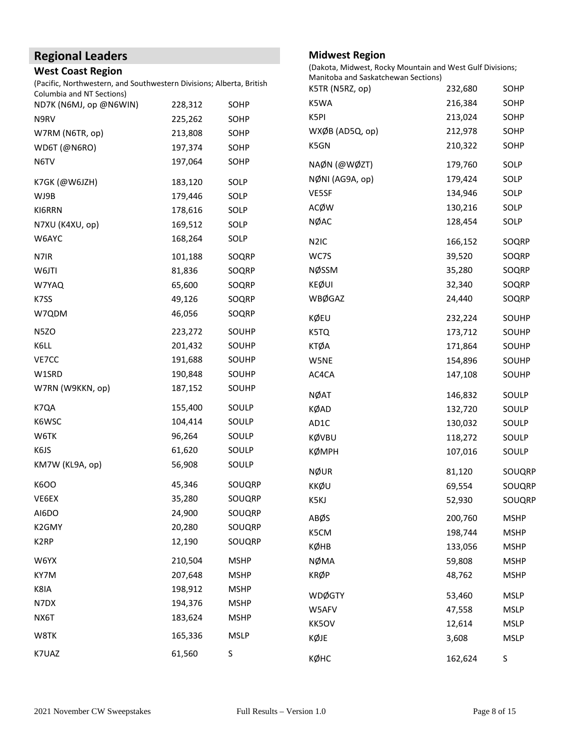# **Regional Leaders**

#### **West Coast Region**

(Pacific, Northwestern, and Southwestern Divisions; Alberta, British Columbia and NT Sections)

| idiribid drid ivi beetions,<br>ND7K (N6MJ, op @N6WIN) | 228,312 | SOHP        | K5WA                   |
|-------------------------------------------------------|---------|-------------|------------------------|
| N9RV                                                  | 225,262 | SOHP        | K5PI                   |
| W7RM (N6TR, op)                                       | 213,808 | SOHP        | WXØB (AD5Q, op         |
| WD6T (@N6RO)                                          | 197,374 | SOHP        | K5GN                   |
| N6TV                                                  | 197,064 | SOHP        | NAØN (@WØZT)           |
| K7GK (@W6JZH)                                         | 183,120 | SOLP        | NØNI (AG9A, op)        |
| WJ9B                                                  | 179,446 | SOLP        | VE5SF                  |
| KI6RRN                                                | 178,616 | SOLP        | ACØW                   |
| N7XU (K4XU, op)                                       | 169,512 | SOLP        | <b>NØAC</b>            |
| W6AYC                                                 | 168,264 | SOLP        | N <sub>2</sub> IC      |
| N7IR                                                  | 101,188 | SOQRP       | WC7S                   |
| W6JTI                                                 | 81,836  | SOQRP       | NØSSM                  |
| W7YAQ                                                 | 65,600  | SOQRP       | <b>KEØUI</b>           |
| K7SS                                                  | 49,126  | SOQRP       | <b>WBØGAZ</b>          |
| W7QDM                                                 | 46,056  | SOQRP       | KØEU                   |
| N5ZO                                                  | 223,272 | SOUHP       | K5TQ                   |
| K6LL                                                  | 201,432 | SOUHP       | <b>KTØA</b>            |
| VE7CC                                                 | 191,688 | SOUHP       | W5NE                   |
| W1SRD                                                 | 190,848 | SOUHP       | AC4CA                  |
| W7RN (W9KKN, op)                                      | 187,152 | SOUHP       | <b>NØAT</b>            |
| K7QA                                                  | 155,400 | SOULP       | <b>KØAD</b>            |
| K6WSC                                                 | 104,414 | SOULP       | AD1C                   |
| W6TK                                                  | 96,264  | SOULP       | KØVBU                  |
| K6JS                                                  | 61,620  | SOULP       | <b>КØМРН</b>           |
| KM7W (KL9A, op)                                       | 56,908  | SOULP       | <b>NØUR</b>            |
| K6OO                                                  | 45,346  | SOUQRP      | KKØU                   |
| VE6EX                                                 | 35,280  | SOUQRP      | K5KJ                   |
| AI6DO                                                 | 24,900  | SOUQRP      | ABØS                   |
| K2GMY                                                 | 20,280  | SOUQRP      | K5CM                   |
| K <sub>2</sub> RP                                     | 12,190  | SOUQRP      | KØHB                   |
| W6YX                                                  | 210,504 | <b>MSHP</b> | <b>NØMA</b>            |
| KY7M                                                  | 207,648 | <b>MSHP</b> | <b>KRØP</b>            |
| K8IA                                                  | 198,912 | <b>MSHP</b> |                        |
| N7DX                                                  | 194,376 | <b>MSHP</b> | <b>WDØGTY</b><br>W5AFV |
| NX6T                                                  | 183,624 | <b>MSHP</b> | KK5OV                  |
| W8TK                                                  | 165,336 | <b>MSLP</b> | KØJE                   |
| K7UAZ                                                 | 61,560  | S           |                        |
|                                                       |         |             | <b>VONTIC</b>          |

#### **Midwest Region**

(Dakota, Midwest, Rocky Mountain and West Gulf Divisions;

| Manitoba and Saskatchewan Sections) |         |             |
|-------------------------------------|---------|-------------|
| K5TR (N5RZ, op)                     | 232,680 | SOHP        |
| K5WA                                | 216,384 | SOHP        |
| K5PI                                | 213,024 | SOHP        |
| WXØB (AD5Q, op)                     | 212,978 | SOHP        |
| K5GN                                | 210,322 | SOHP        |
| NAØN (@WØZT)                        | 179,760 | SOLP        |
| NØNI (AG9A, op)                     | 179,424 | SOLP        |
| VE5SF                               | 134,946 | SOLP        |
| <b>ACØW</b>                         | 130,216 | SOLP        |
| NØAC                                | 128,454 | SOLP        |
| N <sub>2</sub> IC                   | 166,152 | SOQRP       |
| WC7S                                | 39,520  | SOQRP       |
| <b>NØSSM</b>                        | 35,280  | SOQRP       |
| <b>KEØUI</b>                        | 32,340  | SOQRP       |
| <b>WBØGAZ</b>                       | 24,440  | SOQRP       |
| KØEU                                | 232,224 | SOUHP       |
| K5TQ                                | 173,712 | SOUHP       |
| <b>KTØA</b>                         | 171,864 | SOUHP       |
| W5NE                                | 154,896 | SOUHP       |
| AC4CA                               | 147,108 | SOUHP       |
| NØAT                                | 146,832 | SOULP       |
| KØAD                                | 132,720 | SOULP       |
| AD1C                                | 130,032 | SOULP       |
| KØVBU                               | 118,272 | SOULP       |
| <b>КØМРН</b>                        | 107,016 | SOULP       |
| <b>NØUR</b>                         | 81,120  | SOUQRP      |
| KKØU                                | 69,554  | SOUQRP      |
| K5KJ                                | 52,930  | SOUQRP      |
| ABØS                                | 200,760 | <b>MSHP</b> |
| K5CM                                | 198,744 | <b>MSHP</b> |
| KØHB                                | 133,056 | <b>MSHP</b> |
| <b>NØMA</b>                         | 59,808  | <b>MSHP</b> |
| <b>KRØP</b>                         | 48,762  | <b>MSHP</b> |
| <b>WDØGTY</b>                       | 53,460  | <b>MSLP</b> |
| W5AFV                               | 47,558  | <b>MSLP</b> |
| KK5OV                               | 12,614  | <b>MSLP</b> |
| KØJE                                | 3,608   | <b>MSLP</b> |
| кøнс                                | 162,624 | S           |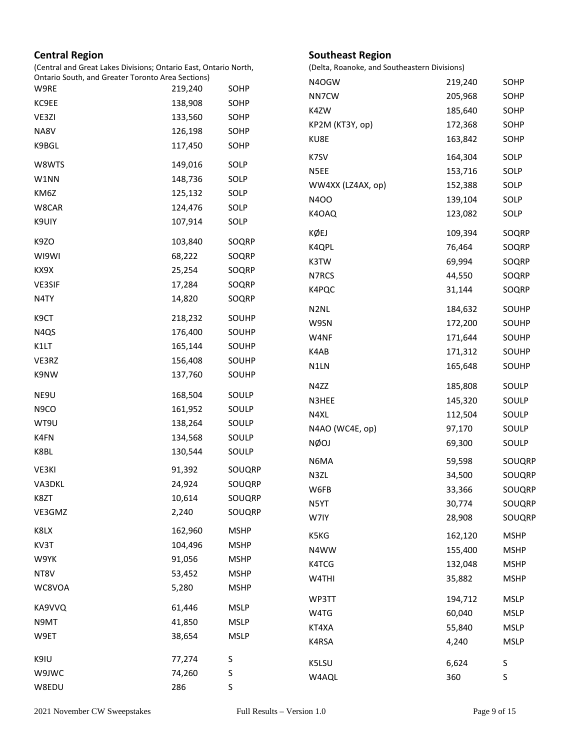#### **Central Region**

(Central and Great Lakes Divisions; Ontario East, Ontario North, Ontario South, and Greater Toronto Area Sections)

| Ontario South, and Greater Toronto Area Sections) |         |             | N4OGW             | 219,240           | SOHP        |
|---------------------------------------------------|---------|-------------|-------------------|-------------------|-------------|
| W9RE                                              | 219,240 | SOHP        | NN7CW             | 205,968           | SOHP        |
| KC9EE                                             | 138,908 | SOHP        | K4ZW              | 185,640           | SOHP        |
| VE3ZI                                             | 133,560 | SOHP        | KP2M (KT3Y, op)   | 172,368           | SOHP        |
| NA8V                                              | 126,198 | SOHP        | KU8E              | 163,842           | SOHP        |
| K9BGL                                             | 117,450 | SOHP        | K7SV              | 164,304           | SOLP        |
| W8WTS                                             | 149,016 | SOLP        | N5EE              |                   |             |
| W1NN                                              | 148,736 | SOLP        |                   | 153,716           | SOLP        |
| KM6Z                                              | 125,132 | SOLP        | WW4XX (LZ4AX, op) | 152,388           | SOLP        |
| W8CAR                                             | 124,476 | SOLP        | <b>N4OO</b>       | 139,104           | SOLP        |
| K9UIY                                             | 107,914 | SOLP        | K4OAQ             | 123,082           | SOLP        |
| K9ZO                                              | 103,840 | SOQRP       | KØEJ              | 109,394           | SOQR        |
| WI9WI                                             | 68,222  | SOQRP       | K4QPL             | 76,464            | SOQR        |
| KX9X                                              | 25,254  | SOQRP       | K3TW              | 69,994            | SOQR        |
| VE3SIF                                            | 17,284  | SOQRP       | N7RCS             | 44,550            | SOQR        |
| N4TY                                              | 14,820  | SOQRP       | K4PQC             | 31,144            | SOQR        |
|                                                   |         |             | N <sub>2</sub> NL | 184,632           | SOUH        |
| K9CT                                              | 218,232 | SOUHP       | W9SN              | 172,200           | SOUH        |
| N4QS                                              | 176,400 | SOUHP       | W4NF              | 171,644           | SOUH        |
| K1LT                                              | 165,144 | SOUHP       | K4AB              | 171,312           | SOUH        |
| VE3RZ                                             | 156,408 | SOUHP       | N1LN              | 165,648           | SOUH        |
| K9NW                                              | 137,760 | SOUHP       |                   |                   |             |
| NE9U                                              | 168,504 | SOULP       | N4ZZ              | 185,808           | SOUL        |
| N9CO                                              | 161,952 | SOULP       | N3HEE             | 145,320           | SOUL        |
| WT9U                                              | 138,264 | SOULP       | N4XL              | 112,504           | SOUL        |
| K4FN                                              | 134,568 | SOULP       | N4AO (WC4E, op)   | 97,170            | SOUL        |
| K8BL                                              | 130,544 | SOULP       | <b>NØOJ</b>       | 69,300            | SOUL        |
| VE3KI                                             | 91,392  | SOUQRP      | N6MA              | 59,598            | SOUC        |
| VA3DKL                                            | 24,924  | SOUQRP      | N3ZL              | 34,500            | SOUC        |
| K8ZT                                              | 10,614  | SOUQRP      | W6FB              | 33,366            | SOUC        |
| VE3GMZ                                            | 2,240   | SOUQRP      | N5YT              | 30,774            | SOUC        |
|                                                   |         |             | W7IY              | 28,908            | SOUC        |
| K8LX                                              | 162,960 | <b>MSHP</b> | K5KG              | 162,120           | <b>MSHF</b> |
| KV3T                                              | 104,496 | <b>MSHP</b> | N4WW              | 155,400           | <b>MSHF</b> |
| W9YK                                              | 91,056  | <b>MSHP</b> | K4TCG             | 132,048           | <b>MSHF</b> |
| NT8V                                              | 53,452  | <b>MSHP</b> | W4THI             | 35,882            | <b>MSHF</b> |
| WC8VOA                                            | 5,280   | <b>MSHP</b> |                   |                   |             |
| KA9VVQ                                            | 61,446  | <b>MSLP</b> | WP3TT             | 194,712<br>60,040 | <b>MSLP</b> |
| N9MT                                              | 41,850  | <b>MSLP</b> | W4TG              |                   | <b>MSLP</b> |
| W9ET                                              | 38,654  | <b>MSLP</b> | KT4XA             | 55,840            | <b>MSLP</b> |
|                                                   |         |             | K4RSA             | 4,240             | <b>MSLP</b> |
| K9IU                                              | 77,274  | S           | K5LSU             | 6,624             | S           |
| W9JWC                                             | 74,260  | S           | W4AQL             | 360               | S           |
| W8EDU                                             | 286     | S           |                   |                   |             |

**Southeast Region**

(Delta, Roanoke, and Southeastern Divisions)

109,394 SOQRP 76,464 SOQRP 69,994 SOQRP 44,550 SOQRP 31,144 SOQRP

184,632 SOUHP 172,200 SOUHP 171,644 SOUHP 171,312 SOUHP 165,648 SOUHP

185,808 SOULP 145,320 SOULP 112,504 SOULP 97,170 SOULP 69,300 SOULP 59,598 SOUQRP 34,500 SOUQRP 33,366 SOUQRP 30,774 SOUQRP 28,908 SOUQRP 162,120 MSHP 155,400 MSHP 132,048 MSHP 35,882 MSHP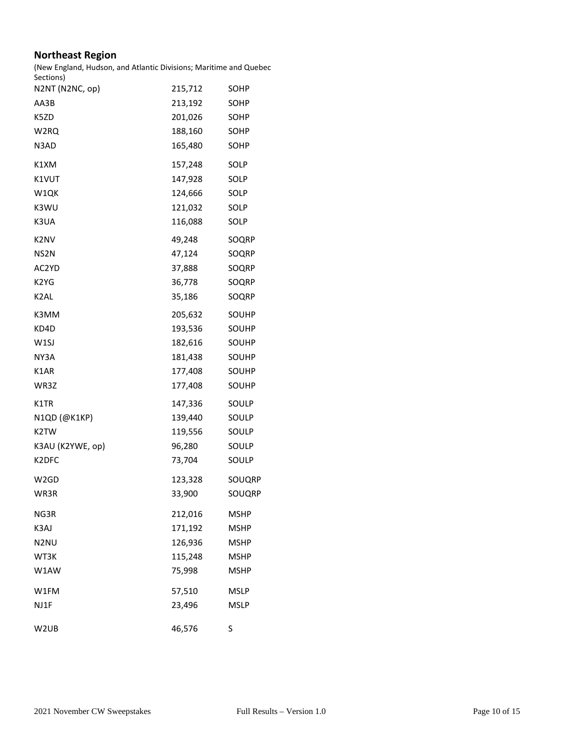#### **Northeast Region**

(New England, Hudson, and Atlantic Divisions; Maritime and Quebec

| Sections)                     |         |              |
|-------------------------------|---------|--------------|
| N2NT (N2NC, op)               | 215,712 | SOHP         |
| AA3B                          | 213,192 | SOHP         |
| K5ZD                          | 201,026 | SOHP         |
| W2RQ                          | 188,160 | SOHP         |
| N3AD                          | 165,480 | SOHP         |
| K1XM                          | 157,248 | SOLP         |
| K1VUT                         | 147,928 | SOLP         |
| W1QK                          | 124,666 | SOLP         |
| K3WU                          | 121,032 | SOLP         |
| K3UA                          | 116,088 | SOLP         |
| K2NV                          | 49,248  | SOQRP        |
| NS <sub>2</sub> N             | 47,124  | SOQRP        |
| AC2YD                         | 37,888  | SOQRP        |
| K <sub>2</sub> Y <sub>G</sub> | 36,778  | SOQRP        |
| K <sub>2</sub> AL             | 35,186  | SOQRP        |
| K3MM                          | 205,632 | SOUHP        |
| KD4D                          | 193,536 | SOUHP        |
| W <sub>1</sub> SJ             | 182,616 | <b>SOUHP</b> |
| NY3A                          | 181,438 | <b>SOUHP</b> |
| K1AR                          | 177,408 | SOUHP        |
| WR3Z                          | 177,408 | <b>SOUHP</b> |
| K1TR                          | 147,336 | SOULP        |
| N1QD (@K1KP)                  | 139,440 | SOULP        |
| K2TW                          | 119,556 | SOULP        |
| K3AU (K2YWE, op)              | 96,280  | SOULP        |
| K2DFC                         | 73,704  | SOULP        |
| W2GD                          | 123,328 | SOUQRP       |
| WR3R                          | 33,900  | SOUQRP       |
| NG3R                          | 212,016 | MSHP         |
| K3AJ                          | 171,192 | <b>MSHP</b>  |
| N <sub>2</sub> NU             | 126,936 | <b>MSHP</b>  |
| WT3K                          | 115,248 | <b>MSHP</b>  |
| W1AW                          | 75,998  | <b>MSHP</b>  |
| W1FM                          | 57,510  | <b>MSLP</b>  |
| NJ1F                          | 23,496  | <b>MSLP</b>  |
| W <sub>2</sub> UB             | 46,576  | S            |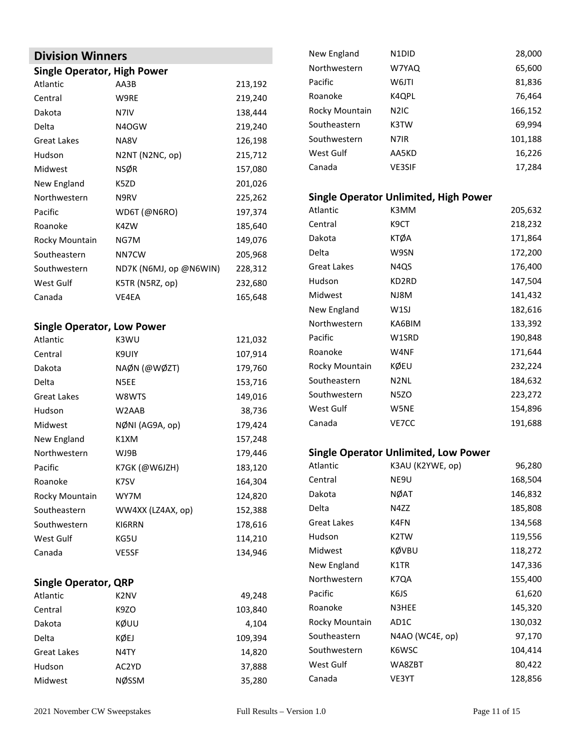### **Division Winners**

#### **Single Operator, High Power**

| Atlantic           | AA3B                   | 213,192 |
|--------------------|------------------------|---------|
| Central            | W9RE                   | 219,240 |
| Dakota             | N7IV                   | 138,444 |
| Delta              | N4OGW                  | 219,240 |
| <b>Great Lakes</b> | NA8V                   | 126,198 |
| Hudson             | N2NT (N2NC, op)        | 215,712 |
| Midwest            | NSØR                   | 157,080 |
| New England        | K5ZD                   | 201,026 |
| Northwestern       | N9RV                   | 225,262 |
| Pacific            | WD6T (@N6RO)           | 197,374 |
| Roanoke            | K4ZW                   | 185,640 |
| Rocky Mountain     | NG7M                   | 149,076 |
| Southeastern       | NN7CW                  | 205,968 |
| Southwestern       | ND7K (N6MJ, op @N6WIN) | 228,312 |
| West Gulf          | K5TR (N5RZ, op)        | 232,680 |
| Canada             | VE4EA                  | 165,648 |

#### **Single Operator, Low Power**

| Atlantic           | K3WU              | 121,032 |
|--------------------|-------------------|---------|
| Central            | K9UIY             | 107,914 |
| Dakota             | NAØN (@WØZT)      | 179,760 |
| Delta              | N5EE              | 153,716 |
| <b>Great Lakes</b> | W8WTS             | 149,016 |
| Hudson             | W2AAB             | 38,736  |
| Midwest            | NØNI (AG9A, op)   | 179,424 |
| New England        | K1XM              | 157,248 |
| Northwestern       | WJ9B              | 179,446 |
| Pacific            | K7GK (@W6JZH)     | 183,120 |
| Roanoke            | K7SV              | 164,304 |
| Rocky Mountain     | WY7M              | 124,820 |
| Southeastern       | WW4XX (LZ4AX, op) | 152,388 |
| Southwestern       | KI6RRN            | 178,616 |
| West Gulf          | KG5U              | 114,210 |
| Canada             | VE5SF             | 134,946 |
|                    |                   |         |

#### **Single Operator, QRP**

| Atlantic           | K <sub>2</sub> NV | 49,248  |
|--------------------|-------------------|---------|
| Central            | K9ZO              | 103,840 |
| Dakota             | KØUU              | 4,104   |
| Delta              | KØEJ              | 109,394 |
| <b>Great Lakes</b> | N <sub>4</sub> TY | 14,820  |
| Hudson             | AC2YD             | 37,888  |
| Midwest            | <b>NØSSM</b>      | 35,280  |

| New England        | N <sub>1</sub> D <sub>ID</sub>              | 28,000  |
|--------------------|---------------------------------------------|---------|
| Northwestern       | W7YAQ                                       | 65,600  |
| Pacific            | W6JTI                                       | 81,836  |
| Roanoke            | K4QPL                                       | 76,464  |
| Rocky Mountain     | N <sub>2</sub> IC                           | 166,152 |
| Southeastern       | K3TW                                        | 69,994  |
| Southwestern       | N7IR                                        | 101,188 |
| West Gulf          | AA5KD                                       | 16,226  |
| Canada             | <b>VE3SIF</b>                               | 17,284  |
|                    |                                             |         |
|                    | Single Operator Unlimited, High Power       |         |
| Atlantic           | K3MM                                        | 205,632 |
| Central            | K9CT                                        | 218,232 |
| Dakota             | KTØA                                        | 171,864 |
| Delta              | W9SN                                        | 172,200 |
| <b>Great Lakes</b> | N <sub>4</sub> Q <sub>S</sub>               | 176,400 |
| Hudson             | KD2RD                                       | 147,504 |
| Midwest            | NJ8M                                        | 141,432 |
| New England        | W <sub>1</sub> SJ                           | 182,616 |
| Northwestern       | KA6BIM                                      | 133,392 |
| Pacific            | W1SRD                                       | 190,848 |
| Roanoke            | W4NF                                        | 171,644 |
| Rocky Mountain     | KØEU                                        | 232,224 |
| Southeastern       | N <sub>2NL</sub>                            | 184,632 |
| Southwestern       | N5ZO                                        | 223,272 |
| West Gulf          | W5NE                                        | 154,896 |
| Canada             | VE7CC                                       | 191,688 |
|                    |                                             |         |
|                    | <b>Single Operator Unlimited, Low Power</b> |         |
| Atlantic           | K3AU (K2YWE, op)                            | 96,280  |
| Central            | NE9U                                        | 168,504 |
| Dakota             | <b>NØAT</b>                                 | 146,832 |
| Delta              | N4ZZ                                        | 185,808 |
| <b>Great Lakes</b> | K4FN                                        | 134,568 |
| Hudson             | K2TW                                        | 119,556 |
| Midwest            | KØVBU                                       | 118,272 |
| New England        | K1TR                                        | 147,336 |
| Northwestern       | K7QA                                        | 155,400 |
| Pacific            | K6JS                                        | 61,620  |
| Roanoke            | N3HEE                                       | 145,320 |
| Rocky Mountain     | AD1C                                        | 130,032 |
| Southeastern       | N4AO (WC4E, op)                             | 97,170  |
| Southwestern       | K6WSC                                       | 104,414 |
| West Gulf          | WA8ZBT                                      | 80,422  |

Canada **VE3YT** 128,856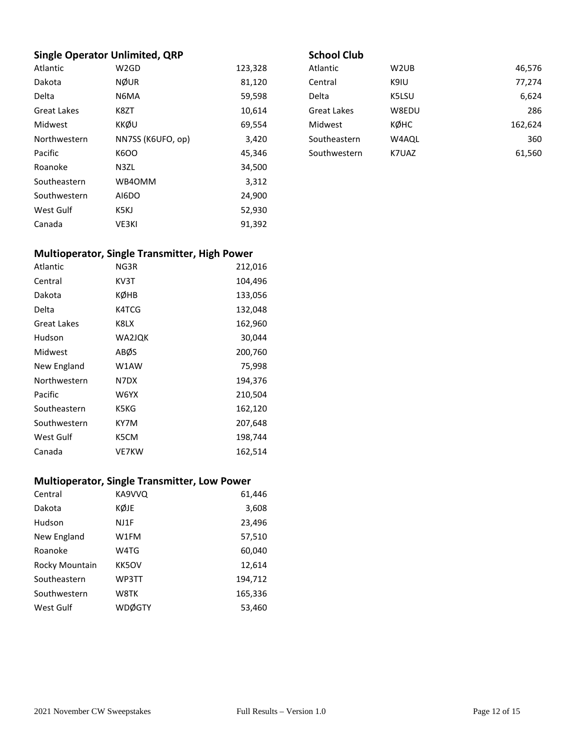#### **Single Operator Unlimited, QRP**

| Atlantic     | W <sub>2</sub> GD | 123,328 |
|--------------|-------------------|---------|
| Dakota       | <b>NØUR</b>       | 81,120  |
| Delta        | N6MA              | 59,598  |
| Great Lakes  | K8ZT              | 10,614  |
| Midwest      | KKØU              | 69,554  |
| Northwestern | NN7SS (K6UFO, op) | 3,420   |
| Pacific      | <b>K6OO</b>       | 45,346  |
| Roanoke      | N3ZL              | 34,500  |
| Southeastern | WB40MM            | 3,312   |
| Southwestern | AI6DO             | 24,900  |
| West Gulf    | K5KJ              | 52,930  |
| Canada       | VE3KI             | 91,392  |

#### **School Club**

| Atlantic           | W2UB  | 46,576  |
|--------------------|-------|---------|
| Central            | K9IU  | 77,274  |
| Delta              | K5LSU | 6,624   |
| <b>Great Lakes</b> | W8EDU | 286     |
| Midwest            | кøнс  | 162,624 |
| Southeastern       | W4AQL | 360     |
| Southwestern       | K7UAZ | 61,560  |
|                    |       |         |

# **Multioperator, Single Transmitter, High Power**

| <b>Atlantic</b> | NG3R   | 212,016 |
|-----------------|--------|---------|
| Central         | KV3T   | 104,496 |
| Dakota          | кøнв   | 133,056 |
| Delta           | K4TCG  | 132,048 |
| Great Lakes     | K8LX   | 162,960 |
| Hudson          | WA2JQK | 30,044  |
| Midwest         | ABØS   | 200,760 |
| New England     | W1AW   | 75,998  |
| Northwestern    | N7DX   | 194,376 |
| Pacific         | W6YX   | 210,504 |
| Southeastern    | K5KG   | 162,120 |
| Southwestern    | KY7M   | 207,648 |
| West Gulf       | K5CM   | 198,744 |
| Canada          | VE7KW  | 162,514 |

#### **Multioperator, Single Transmitter, Low Power**

| Central        | KA9VVQ       | 61,446  |
|----------------|--------------|---------|
| Dakota         | KØJE         | 3,608   |
| Hudson         | NJ1F         | 23,496  |
| New England    | W1FM         | 57,510  |
| Roanoke        | W4TG         | 60,040  |
| Rocky Mountain | <b>KK5OV</b> | 12,614  |
| Southeastern   | WP3TT        | 194,712 |
| Southwestern   | W8TK         | 165,336 |
| West Gulf      | WDØGTY       | 53,460  |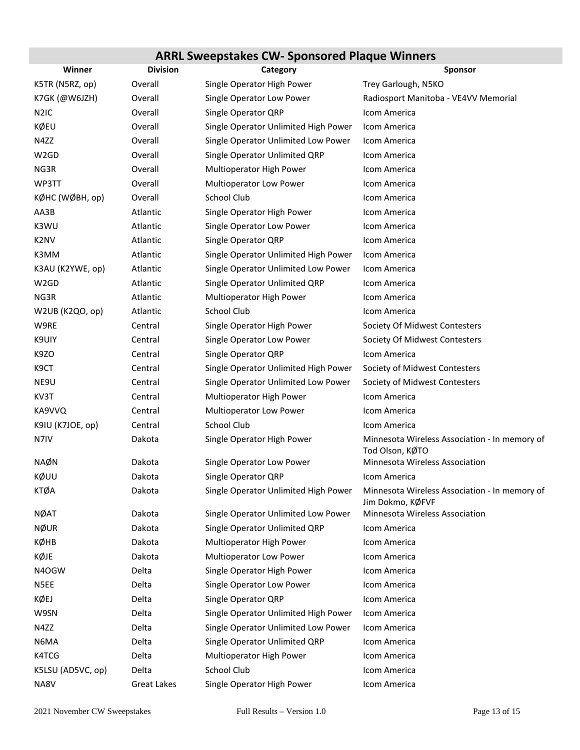# **ARRL Sweepstakes CW‐ Sponsored Plaque Winners**

| Winner            | <b>Division</b>    | Category                             | <b>Sponsor</b>                                                    |  |
|-------------------|--------------------|--------------------------------------|-------------------------------------------------------------------|--|
| K5TR (N5RZ, op)   | Overall            | Single Operator High Power           | Trey Garlough, N5KO                                               |  |
| K7GK (@W6JZH)     | Overall            | Single Operator Low Power            | Radiosport Manitoba - VE4VV Memorial                              |  |
| N <sub>2</sub> IC | Overall            | Single Operator QRP                  | Icom America                                                      |  |
| KØEU              | Overall            | Single Operator Unlimited High Power | Icom America                                                      |  |
| N4ZZ              | Overall            | Single Operator Unlimited Low Power  | Icom America                                                      |  |
| W2GD              | Overall            | Single Operator Unlimited QRP        | Icom America                                                      |  |
| NG3R              | Overall            | Multioperator High Power             | Icom America                                                      |  |
| WP3TT             | Overall            | Multioperator Low Power              | Icom America                                                      |  |
| КØНС (WØВН, op)   | Overall            | School Club                          | Icom America                                                      |  |
| AA3B              | Atlantic           | Single Operator High Power           | Icom America                                                      |  |
| K3WU              | Atlantic           | Single Operator Low Power            | Icom America                                                      |  |
| K <sub>2</sub> NV | Atlantic           | Single Operator QRP                  | Icom America                                                      |  |
| K3MM              | Atlantic           | Single Operator Unlimited High Power | Icom America                                                      |  |
| K3AU (K2YWE, op)  | Atlantic           | Single Operator Unlimited Low Power  | Icom America                                                      |  |
| W <sub>2</sub> GD | Atlantic           | Single Operator Unlimited QRP        | Icom America                                                      |  |
| NG3R              | Atlantic           | Multioperator High Power             | Icom America                                                      |  |
| W2UB (K2QO, op)   | Atlantic           | School Club                          | Icom America                                                      |  |
| W9RE              | Central            | Single Operator High Power           | Society Of Midwest Contesters                                     |  |
| K9UIY             | Central            | Single Operator Low Power            | Society Of Midwest Contesters                                     |  |
| K9ZO              | Central            | Single Operator QRP                  | Icom America                                                      |  |
| K9CT              | Central            | Single Operator Unlimited High Power | Society of Midwest Contesters                                     |  |
| NE9U              | Central            | Single Operator Unlimited Low Power  | Society of Midwest Contesters                                     |  |
| KV3T              | Central            | Multioperator High Power             | Icom America                                                      |  |
| KA9VVQ            | Central            | Multioperator Low Power              | Icom America                                                      |  |
| K9IU (K7JOE, op)  | Central            | School Club                          | Icom America                                                      |  |
| N7IV              | Dakota             | Single Operator High Power           | Minnesota Wireless Association - In memory of<br>Tod Olson, KØTO  |  |
| <b>NAØN</b>       | Dakota             | Single Operator Low Power            | Minnesota Wireless Association                                    |  |
| KØUU              | Dakota             | Single Operator QRP                  | Icom America                                                      |  |
| KTØA              | Dakota             | Single Operator Unlimited High Power | Minnesota Wireless Association - In memory of<br>Jim Dokmo, KØFVF |  |
| <b>NØAT</b>       | Dakota             | Single Operator Unlimited Low Power  | Minnesota Wireless Association                                    |  |
| <b>NØUR</b>       | Dakota             | Single Operator Unlimited QRP        | Icom America                                                      |  |
| КØНВ              | Dakota             | Multioperator High Power             | Icom America                                                      |  |
| KØJE              | Dakota             | Multioperator Low Power              | Icom America                                                      |  |
| N4OGW             | Delta              | Single Operator High Power           | Icom America                                                      |  |
| N5EE              | Delta              | Single Operator Low Power            | Icom America                                                      |  |
| KØEJ              | Delta              | Single Operator QRP                  | Icom America                                                      |  |
| W9SN              | Delta              | Single Operator Unlimited High Power | Icom America                                                      |  |
| N4ZZ              | Delta              | Single Operator Unlimited Low Power  | Icom America                                                      |  |
| N6MA              | Delta              | Single Operator Unlimited QRP        | Icom America                                                      |  |
| K4TCG             | Delta              | Multioperator High Power             | Icom America                                                      |  |
| K5LSU (AD5VC, op) | Delta              | School Club                          | Icom America                                                      |  |
| NA8V              | <b>Great Lakes</b> | Single Operator High Power           | Icom America                                                      |  |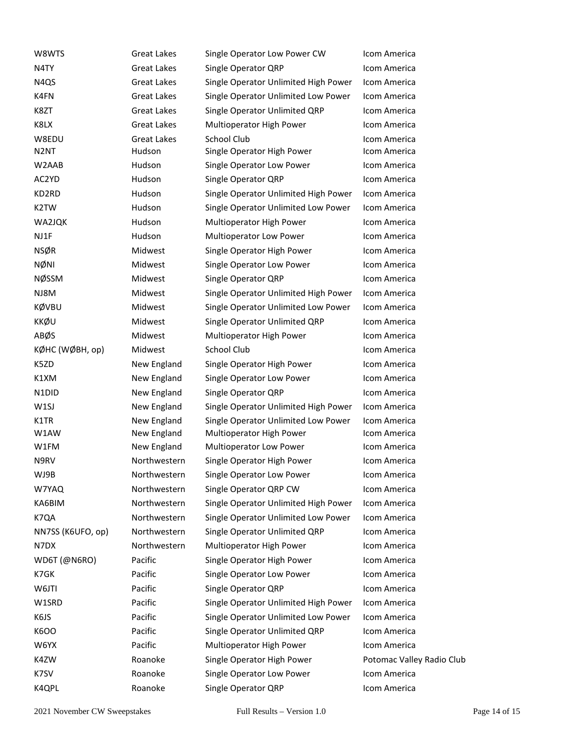| W8WTS                          | <b>Great Lakes</b> | Single Operator Low Power CW         | Icom America  |
|--------------------------------|--------------------|--------------------------------------|---------------|
| N4TY                           | Great Lakes        | Single Operator QRP                  | Icom America  |
| N4QS                           | Great Lakes        | Single Operator Unlimited High Power | Icom America  |
| K4FN                           | Great Lakes        | Single Operator Unlimited Low Power  | Icom America  |
| K8ZT                           | Great Lakes        | Single Operator Unlimited QRP        | Icom America  |
| K8LX                           | Great Lakes        | Multioperator High Power             | Icom America  |
| W8EDU                          | <b>Great Lakes</b> | School Club                          | Icom America  |
| N <sub>2</sub> NT              | Hudson             | Single Operator High Power           | Icom America  |
| W2AAB                          | Hudson             | Single Operator Low Power            | Icom America  |
| AC2YD                          | Hudson             | Single Operator QRP                  | Icom America  |
| KD2RD                          | Hudson             | Single Operator Unlimited High Power | Icom America  |
| K2TW                           | Hudson             | Single Operator Unlimited Low Power  | Icom America  |
| WA2JQK                         | Hudson             | Multioperator High Power             | Icom America  |
| NJ1F                           | Hudson             | Multioperator Low Power              | Icom America  |
| <b>NSØR</b>                    | Midwest            | Single Operator High Power           | Icom America  |
| <b>NØNI</b>                    | Midwest            | Single Operator Low Power            | Icom America  |
| <b>NØSSM</b>                   | Midwest            | Single Operator QRP                  | Icom America  |
| NJ8M                           | Midwest            | Single Operator Unlimited High Power | Icom America  |
| KØVBU                          | Midwest            | Single Operator Unlimited Low Power  | Icom America  |
| <b>KKØU</b>                    | Midwest            | Single Operator Unlimited QRP        | Icom America  |
| ABØS                           | Midwest            | Multioperator High Power             | Icom America  |
| КØНС (WØВН, op)                | Midwest            | School Club                          | Icom America  |
| K5ZD                           | New England        | Single Operator High Power           | Icom America  |
| K1XM                           | New England        | Single Operator Low Power            | Icom America  |
| N <sub>1</sub> D <sub>ID</sub> | New England        | Single Operator QRP                  | Icom America  |
| W1SJ                           | New England        | Single Operator Unlimited High Power | Icom America  |
| K1TR                           | New England        | Single Operator Unlimited Low Power  | Icom America  |
| W1AW                           | New England        | Multioperator High Power             | Icom America  |
| W1FM                           | New England        | Multioperator Low Power              | Icom America  |
| N9RV                           | Northwestern       | Single Operator High Power           | Icom America  |
| WJ9B                           | Northwestern       | Single Operator Low Power            | Icom America  |
| W7YAQ                          | Northwestern       | Single Operator QRP CW               | Icom America  |
| KA6BIM                         | Northwestern       | Single Operator Unlimited High Power | Icom America  |
| K7QA                           | Northwestern       | Single Operator Unlimited Low Power  | Icom America  |
| NN7SS (K6UFO, op)              | Northwestern       | Single Operator Unlimited QRP        | Icom America  |
| N7DX                           | Northwestern       | Multioperator High Power             | Icom America  |
| WD6T (@N6RO)                   | Pacific            | Single Operator High Power           | Icom America  |
| K7GK                           | Pacific            | Single Operator Low Power            | Icom America  |
| W6JTI                          | Pacific            | Single Operator QRP                  | Icom America  |
| W1SRD                          | Pacific            | Single Operator Unlimited High Power | Icom America  |
| K6JS                           | Pacific            | Single Operator Unlimited Low Power  | Icom America  |
| K6OO                           | Pacific            | Single Operator Unlimited QRP        | Icom America  |
| W6YX                           | Pacific            | Multioperator High Power             | Icom America  |
| K4ZW                           | Roanoke            | Single Operator High Power           | Potomac Valle |
| K7SV                           | Roanoke            | Single Operator Low Power            | Icom America  |
| K4QPL                          | Roanoke            | Single Operator QRP                  | Icom America  |
|                                |                    |                                      |               |

Alley Radio Club